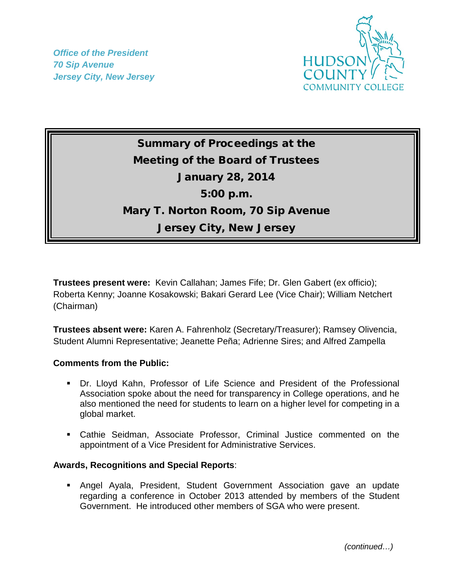*Office of the President 70 Sip Avenue Jersey City, New Jersey*



## Summary of Proceedings at the Meeting of the Board of Trustees January 28, 2014 5:00 p.m. Mary T. Norton Room, 70 Sip Avenue Jersey City, New Jersey

**Trustees present were:** Kevin Callahan; James Fife; Dr. Glen Gabert (ex officio); Roberta Kenny; Joanne Kosakowski; Bakari Gerard Lee (Vice Chair); William Netchert (Chairman)

**Trustees absent were:** Karen A. Fahrenholz (Secretary/Treasurer); Ramsey Olivencia, Student Alumni Representative; Jeanette Peña; Adrienne Sires; and Alfred Zampella

## **Comments from the Public:**

- Dr. Lloyd Kahn, Professor of Life Science and President of the Professional Association spoke about the need for transparency in College operations, and he also mentioned the need for students to learn on a higher level for competing in a global market.
- Cathie Seidman, Associate Professor, Criminal Justice commented on the appointment of a Vice President for Administrative Services.

## **Awards, Recognitions and Special Reports**:

 Angel Ayala, President, Student Government Association gave an update regarding a conference in October 2013 attended by members of the Student Government. He introduced other members of SGA who were present.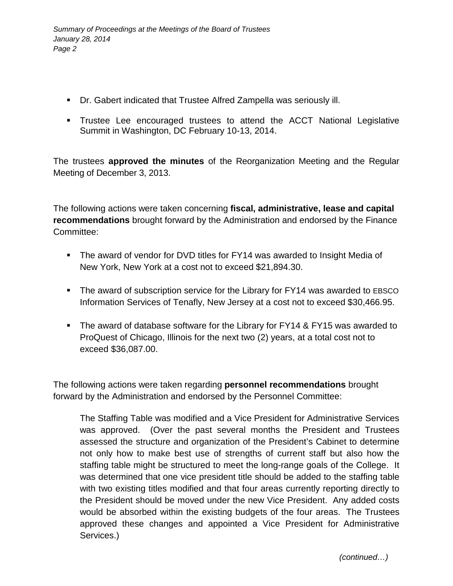- Dr. Gabert indicated that Trustee Alfred Zampella was seriously ill.
- Trustee Lee encouraged trustees to attend the ACCT National Legislative Summit in Washington, DC February 10-13, 2014.

The trustees **approved the minutes** of the Reorganization Meeting and the Regular Meeting of December 3, 2013.

The following actions were taken concerning **fiscal, administrative, lease and capital recommendations** brought forward by the Administration and endorsed by the Finance Committee:

- The award of vendor for DVD titles for FY14 was awarded to Insight Media of New York, New York at a cost not to exceed \$21,894.30.
- The award of subscription service for the Library for FY14 was awarded to EBSCO Information Services of Tenafly, New Jersey at a cost not to exceed \$30,466.95.
- The award of database software for the Library for FY14 & FY15 was awarded to ProQuest of Chicago, Illinois for the next two (2) years, at a total cost not to exceed \$36,087.00.

The following actions were taken regarding **personnel recommendations** brought forward by the Administration and endorsed by the Personnel Committee:

The Staffing Table was modified and a Vice President for Administrative Services was approved. (Over the past several months the President and Trustees assessed the structure and organization of the President's Cabinet to determine not only how to make best use of strengths of current staff but also how the staffing table might be structured to meet the long-range goals of the College. It was determined that one vice president title should be added to the staffing table with two existing titles modified and that four areas currently reporting directly to the President should be moved under the new Vice President. Any added costs would be absorbed within the existing budgets of the four areas. The Trustees approved these changes and appointed a Vice President for Administrative Services.)